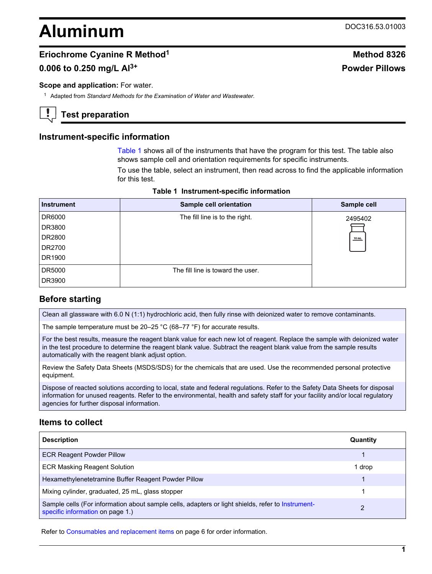# <span id="page-0-0"></span>**Aluminum** DOC316.53.01003

# **Eriochrome Cyanine R Method**<sup>1</sup> **Method** 8326

# **0.006 to 0.250 mg/L Al3+ Powder Pillows**

#### **Scope and application:** For water.

<sup>1</sup> Adapted from *Standard Methods for the Examination of Water and Wastewater*.

**Test preparation**

## **Instrument-specific information**

Table 1 shows all of the instruments that have the program for this test. The table also shows sample cell and orientation requirements for specific instruments.

To use the table, select an instrument, then read across to find the applicable information for this test.

| <b>Instrument</b> | Sample cell orientation           | Sample cell |
|-------------------|-----------------------------------|-------------|
| DR6000            | The fill line is to the right.    | 2495402     |
| DR3800            |                                   |             |
| DR2800            |                                   | $10$ mL     |
| DR2700            |                                   |             |
| DR1900            |                                   |             |
| DR5000            | The fill line is toward the user. |             |
| DR3900            |                                   |             |

#### **Table 1 Instrument-specific information**

# **Before starting**

Clean all glassware with 6.0 N (1:1) hydrochloric acid, then fully rinse with deionized water to remove contaminants.

The sample temperature must be 20–25 °C (68–77 °F) for accurate results.

For the best results, measure the reagent blank value for each new lot of reagent. Replace the sample with deionized water in the test procedure to determine the reagent blank value. Subtract the reagent blank value from the sample results automatically with the reagent blank adjust option.

Review the Safety Data Sheets (MSDS/SDS) for the chemicals that are used. Use the recommended personal protective equipment.

Dispose of reacted solutions according to local, state and federal regulations. Refer to the Safety Data Sheets for disposal information for unused reagents. Refer to the environmental, health and safety staff for your facility and/or local regulatory agencies for further disposal information.

## **Items to collect**

| <b>Description</b>                                                                                                                    | Quantity |
|---------------------------------------------------------------------------------------------------------------------------------------|----------|
| <b>ECR Reagent Powder Pillow</b>                                                                                                      |          |
| <b>ECR Masking Reagent Solution</b>                                                                                                   | 1 drop   |
| Hexamethylenetetramine Buffer Reagent Powder Pillow                                                                                   |          |
| Mixing cylinder, graduated, 25 mL, glass stopper                                                                                      |          |
| Sample cells (For information about sample cells, adapters or light shields, refer to Instrument-<br>specific information on page 1.) | 2        |

Refer to [Consumables and replacement items](#page-5-0) on page 6 for order information.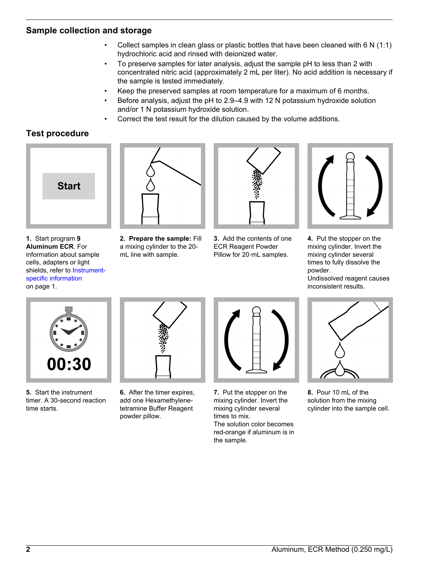# **Sample collection and storage**

- Collect samples in clean glass or plastic bottles that have been cleaned with 6 N (1:1) hydrochloric acid and rinsed with deionized water.
- To preserve samples for later analysis, adjust the sample pH to less than 2 with concentrated nitric acid (approximately 2 mL per liter). No acid addition is necessary if the sample is tested immediately.
- Keep the preserved samples at room temperature for a maximum of 6 months.
- Before analysis, adjust the pH to 2.9–4.9 with 12 N potassium hydroxide solution and/or 1 N potassium hydroxide solution.
- Correct the test result for the dilution caused by the volume additions.

# **Test procedure**



**1.** Start program **9 Aluminum ECR**. For information about sample cells, adapters or light shields, refer to [Instrument](#page-0-0)[specific information](#page-0-0) on page 1.



**2. Prepare the sample:** Fill a mixing cylinder to the 20 mL line with sample.





**4.** Put the stopper on the mixing cylinder. Invert the mixing cylinder several times to fully dissolve the powder.

Undissolved reagent causes inconsistent results.



**5.** Start the instrument timer. A 30-second reaction time starts.



**6.** After the timer expires, add one Hexamethylenetetramine Buffer Reagent powder pillow.



**7.** Put the stopper on the mixing cylinder. Invert the mixing cylinder several times to mix. The solution color becomes

red-orange if aluminum is in

the sample.



**8.** Pour 10 mL of the solution from the mixing cylinder into the sample cell.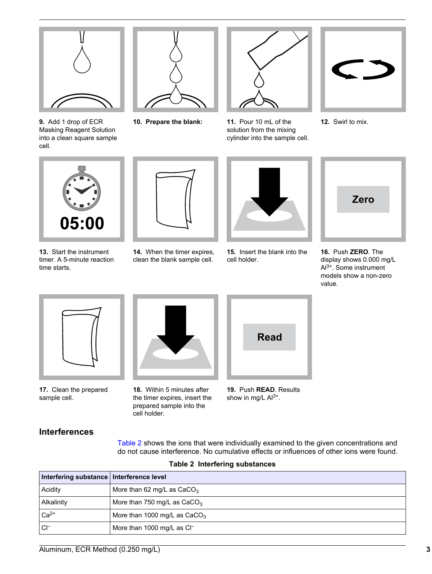

**9.** Add 1 drop of ECR Masking Reagent Solution into a clean square sample cell.



**10. Prepare the blank: 11.** Pour 10 mL of the



solution from the mixing cylinder into the sample cell.



**12.** Swirl to mix.



**13.** Start the instrument timer. A 5-minute reaction time starts.



**14.** When the timer expires, clean the blank sample cell.



**15.** Insert the blank into the cell holder.



**16.** Push **ZERO**. The display shows 0.000 mg/L Al3+. Some instrument models show a non-zero value.



**17.** Clean the prepared sample cell.



**18.** Within 5 minutes after the timer expires, insert the prepared sample into the cell holder.

| <b>Read</b> |  |
|-------------|--|
|             |  |

**19.** Push **READ**. Results show in mg/L  $Al^{3+}$ .

# **Interferences**

Table 2 shows the ions that were individually examined to the given concentrations and do not cause interference. No cumulative effects or influences of other ions were found.

|  |  | <b>Table 2 Interfering substances</b> |
|--|--|---------------------------------------|
|--|--|---------------------------------------|

| Interfering substance   Interference level |                                        |
|--------------------------------------------|----------------------------------------|
| Acidity                                    | More than 62 mg/L as $CaCO3$           |
| Alkalinity                                 | More than 750 mg/L as $CaCO3$          |
| $Ca2+$                                     | More than 1000 mg/L as $CaCO3$         |
| CI-                                        | More than 1000 mg/L as Cl <sup>-</sup> |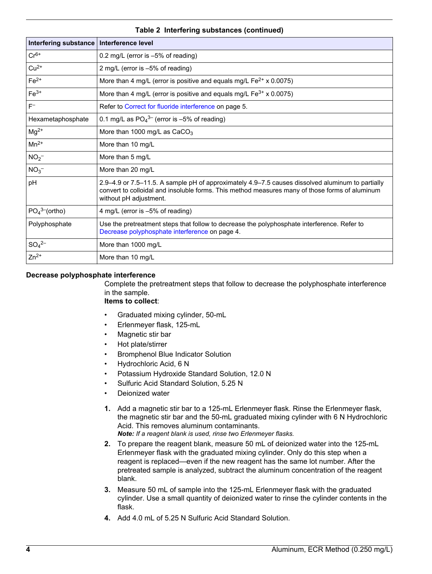<span id="page-3-0"></span>

| <b>Interfering substance</b>          | Interference level                                                                                                                                                                                                           |
|---------------------------------------|------------------------------------------------------------------------------------------------------------------------------------------------------------------------------------------------------------------------------|
| $Cr6+$                                | 0.2 mg/L (error is $-5\%$ of reading)                                                                                                                                                                                        |
| $Cu2+$                                | 2 mg/L (error is -5% of reading)                                                                                                                                                                                             |
| $Fe2+$                                | More than 4 mg/L (error is positive and equals mg/L $Fe^{2+}$ x 0.0075)                                                                                                                                                      |
| $Fe3+$                                | More than 4 mg/L (error is positive and equals mg/L Fe <sup>3+</sup> x 0.0075)                                                                                                                                               |
| $F^-$                                 | Refer to Correct for fluoride interference on page 5.                                                                                                                                                                        |
| Hexametaphosphate                     | 0.1 mg/L as $PO_4^{3-}$ (error is -5% of reading)                                                                                                                                                                            |
| $Mg^{2+}$                             | More than 1000 mg/L as CaCO <sub>3</sub>                                                                                                                                                                                     |
| $Mn^{2+}$                             | More than 10 mg/L                                                                                                                                                                                                            |
| $NO2-$                                | More than 5 mg/L                                                                                                                                                                                                             |
| NO <sub>3</sub>                       | More than 20 mg/L                                                                                                                                                                                                            |
| pH                                    | 2.9–4.9 or 7.5–11.5. A sample pH of approximately 4.9–7.5 causes dissolved aluminum to partially<br>convert to colloidal and insoluble forms. This method measures many of those forms of aluminum<br>without pH adjustment. |
| PO <sub>4</sub> <sup>3–</sup> (ortho) | 4 mg/L (error is -5% of reading)                                                                                                                                                                                             |
| Polyphosphate                         | Use the pretreatment steps that follow to decrease the polyphosphate interference. Refer to<br>Decrease polyphosphate interference on page 4.                                                                                |
| $SO_4^{2-}$                           | More than 1000 mg/L                                                                                                                                                                                                          |
| $Zn^{2+}$                             | More than 10 mg/L                                                                                                                                                                                                            |

#### **Table 2 Interfering substances (continued)**

#### **Decrease polyphosphate interference**

Complete the pretreatment steps that follow to decrease the polyphosphate interference in the sample.

#### **Items to collect**:

- Graduated mixing cylinder, 50-mL
- Erlenmeyer flask, 125-mL
- Magnetic stir bar
- Hot plate/stirrer
- Bromphenol Blue Indicator Solution
- Hydrochloric Acid, 6 N
- Potassium Hydroxide Standard Solution, 12.0 N
- Sulfuric Acid Standard Solution, 5.25 N
- Deionized water
- **1.** Add a magnetic stir bar to a 125-mL Erlenmeyer flask. Rinse the Erlenmeyer flask, the magnetic stir bar and the 50-mL graduated mixing cylinder with 6 N Hydrochloric Acid. This removes aluminum contaminants. *Note: If a reagent blank is used, rinse two Erlenmeyer flasks.*
- **2.** To prepare the reagent blank, measure 50 mL of deionized water into the 125-mL Erlenmeyer flask with the graduated mixing cylinder. Only do this step when a reagent is replaced—even if the new reagent has the same lot number. After the pretreated sample is analyzed, subtract the aluminum concentration of the reagent blank.
- **3.** Measure 50 mL of sample into the 125-mL Erlenmeyer flask with the graduated cylinder. Use a small quantity of deionized water to rinse the cylinder contents in the flask.
- **4.** Add 4.0 mL of 5.25 N Sulfuric Acid Standard Solution.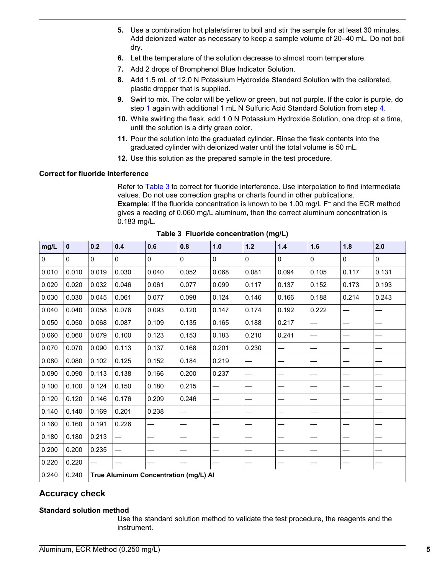- <span id="page-4-0"></span>**5.** Use a combination hot plate/stirrer to boil and stir the sample for at least 30 minutes. Add deionized water as necessary to keep a sample volume of 20–40 mL. Do not boil dry.
- **6.** Let the temperature of the solution decrease to almost room temperature.
- **7.** Add 2 drops of Bromphenol Blue Indicator Solution.
- **8.** Add 1.5 mL of 12.0 N Potassium Hydroxide Standard Solution with the calibrated, plastic dropper that is supplied.
- **9.** Swirl to mix. The color will be yellow or green, but not purple. If the color is purple, do step [1](#page-3-0) again with additional 1 mL N Sulfuric Acid Standard Solution from step [4](#page-3-0).
- **10.** While swirling the flask, add 1.0 N Potassium Hydroxide Solution, one drop at a time, until the solution is a dirty green color.
- **11.** Pour the solution into the graduated cylinder. Rinse the flask contents into the graduated cylinder with deionized water until the total volume is 50 mL.
- **12.** Use this solution as the prepared sample in the test procedure.

#### **Correct for fluoride interference**

Refer to Table 3 to correct for fluoride interference. Use interpolation to find intermediate values. Do not use correction graphs or charts found in other publications. **Example**: If the fluoride concentration is known to be 1.00 mg/L F<sup>-</sup> and the ECR method gives a reading of 0.060 mg/L aluminum, then the correct aluminum concentration is 0.183 mg/L.

| mg/L        | $\mathbf 0$ | 0.2      | 0.4      | 0.6                                   | 0.8                      | 1.0      | $1.2$                    | $1.4$                    | 1.6          | 1.8          | 2.0   |
|-------------|-------------|----------|----------|---------------------------------------|--------------------------|----------|--------------------------|--------------------------|--------------|--------------|-------|
| $\mathbf 0$ | $\Omega$    | $\Omega$ | $\Omega$ | $\Omega$                              | $\Omega$                 | $\Omega$ | $\mathbf{0}$             | $\mathbf{0}$             | $\mathbf{0}$ | $\mathbf{0}$ | 0     |
| 0.010       | 0.010       | 0.019    | 0.030    | 0.040                                 | 0.052                    | 0.068    | 0.081                    | 0.094                    | 0.105        | 0.117        | 0.131 |
| 0.020       | 0.020       | 0.032    | 0.046    | 0.061                                 | 0.077                    | 0.099    | 0.117                    | 0.137                    | 0.152        | 0.173        | 0.193 |
| 0.030       | 0.030       | 0.045    | 0.061    | 0.077                                 | 0.098                    | 0.124    | 0.146                    | 0.166                    | 0.188        | 0.214        | 0.243 |
| 0.040       | 0.040       | 0.058    | 0.076    | 0.093                                 | 0.120                    | 0.147    | 0.174                    | 0.192                    | 0.222        |              |       |
| 0.050       | 0.050       | 0.068    | 0.087    | 0.109                                 | 0.135                    | 0.165    | 0.188                    | 0.217                    |              |              |       |
| 0.060       | 0.060       | 0.079    | 0.100    | 0.123                                 | 0.153                    | 0.183    | 0.210                    | 0.241                    |              |              |       |
| 0.070       | 0.070       | 0.090    | 0.113    | 0.137                                 | 0.168                    | 0.201    | 0.230                    | —                        |              |              |       |
| 0.080       | 0.080       | 0.102    | 0.125    | 0.152                                 | 0.184                    | 0.219    | $\overline{\phantom{0}}$ | $\overline{\phantom{0}}$ |              |              |       |
| 0.090       | 0.090       | 0.113    | 0.138    | 0.166                                 | 0.200                    | 0.237    | —                        |                          |              |              |       |
| 0.100       | 0.100       | 0.124    | 0.150    | 0.180                                 | 0.215                    |          |                          |                          |              |              |       |
| 0.120       | 0.120       | 0.146    | 0.176    | 0.209                                 | 0.246                    |          |                          |                          |              |              |       |
| 0.140       | 0.140       | 0.169    | 0.201    | 0.238                                 |                          |          |                          |                          |              |              |       |
| 0.160       | 0.160       | 0.191    | 0.226    |                                       | $\overline{\phantom{0}}$ |          |                          |                          |              |              |       |
| 0.180       | 0.180       | 0.213    |          |                                       |                          |          |                          |                          |              |              |       |
| 0.200       | 0.200       | 0.235    |          |                                       |                          |          |                          |                          |              |              |       |
| 0.220       | 0.220       |          |          |                                       |                          |          |                          |                          |              |              |       |
| 0.240       | 0.240       |          |          | True Aluminum Concentration (mg/L) Al |                          |          |                          |                          |              |              |       |

**Table 3 Fluoride concentration (mg/L)**

## **Accuracy check**

#### **Standard solution method**

Use the standard solution method to validate the test procedure, the reagents and the instrument.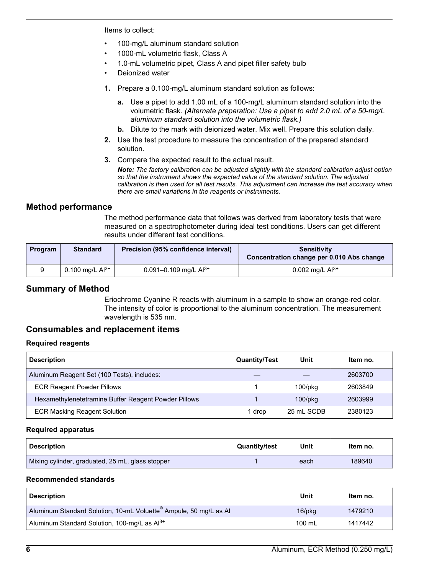<span id="page-5-0"></span>Items to collect:

- 100-mg/L aluminum standard solution
- 1000-mL volumetric flask, Class A
- 1.0-mL volumetric pipet, Class A and pipet filler safety bulb
- Deionized water
- **1.** Prepare a 0.100-mg/L aluminum standard solution as follows:
	- **a.** Use a pipet to add 1.00 mL of a 100-mg/L aluminum standard solution into the volumetric flask. *(Alternate preparation: Use a pipet to add 2.0 mL of a 50-mg/L aluminum standard solution into the volumetric flask.)*
	- **b.** Dilute to the mark with deionized water. Mix well. Prepare this solution daily.
- **2.** Use the test procedure to measure the concentration of the prepared standard solution.
- **3.** Compare the expected result to the actual result.

*Note: The factory calibration can be adjusted slightly with the standard calibration adjust option so that the instrument shows the expected value of the standard solution. The adjusted calibration is then used for all test results. This adjustment can increase the test accuracy when there are small variations in the reagents or instruments.*

# **Method performance**

The method performance data that follows was derived from laboratory tests that were measured on a spectrophotometer during ideal test conditions. Users can get different results under different test conditions.

| <b>Program</b> | <b>Standard</b>      | Precision (95% confidence interval) | <b>Sensitivity</b><br>Concentration change per 0.010 Abs change |
|----------------|----------------------|-------------------------------------|-----------------------------------------------------------------|
|                | 0.100 mg/L $Al^{3+}$ | 0.091-0.109 mg/L $Al^{3+}$          | 0.002 mg/L $Al^{3+}$                                            |

# **Summary of Method**

Eriochrome Cyanine R reacts with aluminum in a sample to show an orange-red color. The intensity of color is proportional to the aluminum concentration. The measurement wavelength is 535 nm.

# **Consumables and replacement items**

#### **Required reagents**

| <b>Description</b>                                   | <b>Quantity/Test</b> | Unit          | Item no. |
|------------------------------------------------------|----------------------|---------------|----------|
| Aluminum Reagent Set (100 Tests), includes:          |                      |               | 2603700  |
| <b>ECR Reagent Powder Pillows</b>                    |                      | $100$ /p $ka$ | 2603849  |
| Hexamethylenetetramine Buffer Reagent Powder Pillows |                      | $100$ /p $kg$ | 2603999  |
| <b>ECR Masking Reagent Solution</b>                  | drop                 | 25 mL SCDB    | 2380123  |

#### **Required apparatus**

| <b>Description</b>                               | <b>Quantity/test</b> | Unit | Item no. |
|--------------------------------------------------|----------------------|------|----------|
| Mixing cylinder, graduated, 25 mL, glass stopper |                      | each | 189640   |

#### **Recommended standards**

| <b>Description</b>                                                            | Unit   | Item no. |
|-------------------------------------------------------------------------------|--------|----------|
| $^{\prime}$ Aluminum Standard Solution, 10-mL Voluette® Ampule, 50 mg/L as Al | 16/pkg | 1479210  |
| Aluminum Standard Solution, 100-mg/L as Al <sup>3+</sup>                      | 100 mL | 1417442  |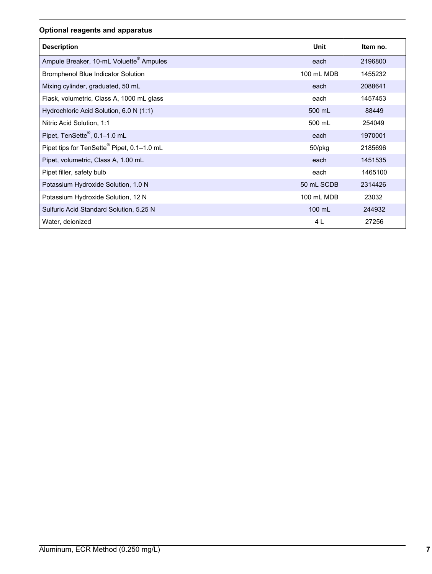# **Optional reagents and apparatus**

| <b>Description</b>                                     | Unit       | Item no. |
|--------------------------------------------------------|------------|----------|
| Ampule Breaker, 10-mL Voluette <sup>®</sup> Ampules    | each       | 2196800  |
| Bromphenol Blue Indicator Solution                     | 100 mL MDB | 1455232  |
| Mixing cylinder, graduated, 50 mL                      | each       | 2088641  |
| Flask, volumetric, Class A, 1000 mL glass              | each       | 1457453  |
| Hydrochloric Acid Solution, 6.0 N (1:1)                | 500 mL     | 88449    |
| Nitric Acid Solution, 1:1                              | 500 mL     | 254049   |
| Pipet, TenSette <sup>®</sup> , 0.1-1.0 mL              | each       | 1970001  |
| Pipet tips for TenSette <sup>®</sup> Pipet, 0.1-1.0 mL | 50/pkg     | 2185696  |
| Pipet, volumetric, Class A, 1.00 mL                    | each       | 1451535  |
| Pipet filler, safety bulb                              | each       | 1465100  |
| Potassium Hydroxide Solution, 1.0 N                    | 50 mL SCDB | 2314426  |
| Potassium Hydroxide Solution, 12 N                     | 100 mL MDB | 23032    |
| Sulfuric Acid Standard Solution, 5.25 N                | 100 mL     | 244932   |
| Water, deionized                                       | 4 L        | 27256    |